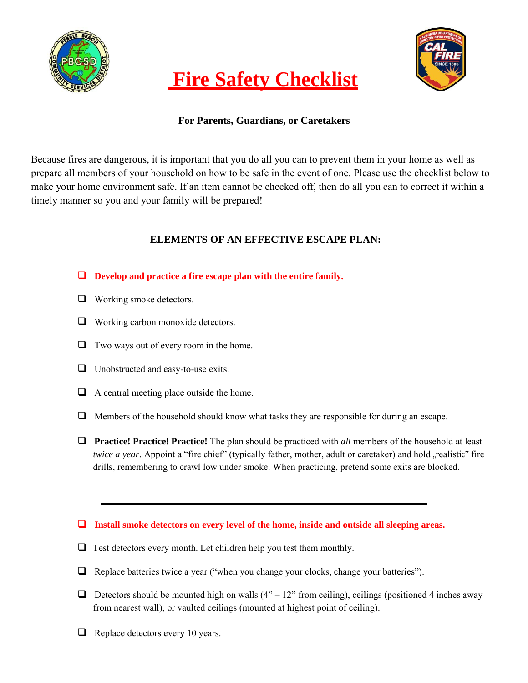

# **Fire Safety Checklist**



## **For Parents, Guardians, or Caretakers**

Because fires are dangerous, it is important that you do all you can to prevent them in your home as well as prepare all members of your household on how to be safe in the event of one. Please use the checklist below to make your home environment safe. If an item cannot be checked off, then do all you can to correct it within a timely manner so you and your family will be prepared!

## **ELEMENTS OF AN EFFECTIVE ESCAPE PLAN:**

### **Develop and practice a fire escape plan with the entire family.**

- **U** Working smoke detectors.
- Working carbon monoxide detectors.
- $\Box$  Two ways out of every room in the home.
- □ Unobstructed and easy-to-use exits.
- $\Box$  A central meeting place outside the home.
- $\Box$  Members of the household should know what tasks they are responsible for during an escape.
- **Practice! Practice! Practice!** The plan should be practiced with *all* members of the household at least *twice a year.* Appoint a "fire chief" (typically father, mother, adult or caretaker) and hold "realistic" fire drills, remembering to crawl low under smoke. When practicing, pretend some exits are blocked.

#### **Install smoke detectors on every level of the home, inside and outside all sleeping areas.**

- $\Box$  Test detectors every month. Let children help you test them monthly.
- $\Box$  Replace batteries twice a year ("when you change your clocks, change your batteries").
- $\Box$  Detectors should be mounted high on walls (4" 12" from ceiling), ceilings (positioned 4 inches away from nearest wall), or vaulted ceilings (mounted at highest point of ceiling).
- $\Box$  Replace detectors every 10 years.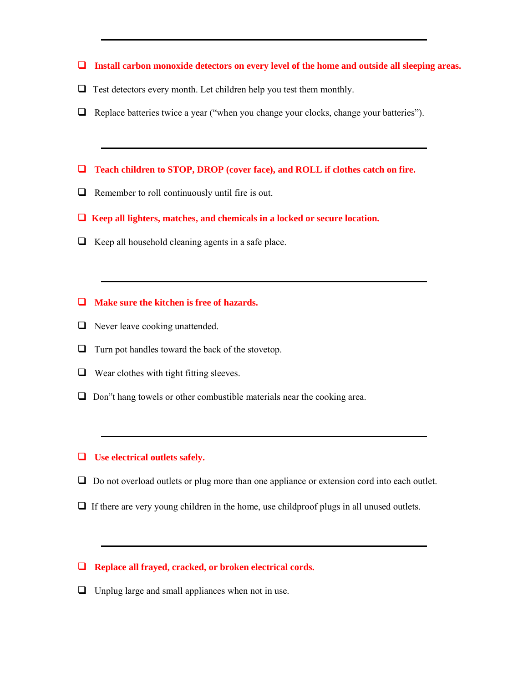- **Install carbon monoxide detectors on every level of the home and outside all sleeping areas.**
- $\Box$  Test detectors every month. Let children help you test them monthly.
- $\Box$  Replace batteries twice a year ("when you change your clocks, change your batteries").
- **Teach children to STOP, DROP (cover face), and ROLL if clothes catch on fire.**
- $\Box$  Remember to roll continuously until fire is out.
- **Keep all lighters, matches, and chemicals in a locked or secure location.**
- $\Box$  Keep all household cleaning agents in a safe place.
- **Make sure the kitchen is free of hazards.**
- $\Box$  Never leave cooking unattended.
- $\Box$  Turn pot handles toward the back of the stovetop.
- $\Box$  Wear clothes with tight fitting sleeves.
- $\Box$  Don"t hang towels or other combustible materials near the cooking area.

#### **Use electrical outlets safely.**

- □ Do not overload outlets or plug more than one appliance or extension cord into each outlet.
- $\Box$  If there are very young children in the home, use childproof plugs in all unused outlets.

#### **Replace all frayed, cracked, or broken electrical cords.**

 $\Box$  Unplug large and small appliances when not in use.